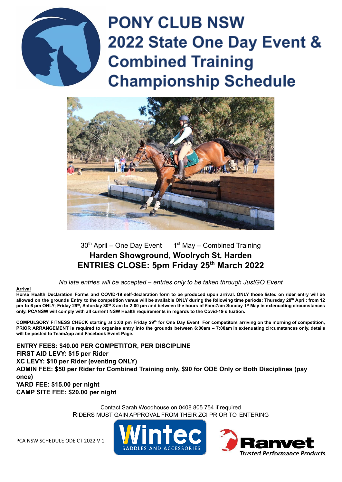

# **PONY CLUB NSW** 2022 State One Day Event & **Combined Training Championship Schedule**



# $30<sup>th</sup>$  April – One Day Event  $1<sup>st</sup>$  May – Combined Training **Harden Showground, Woolrych St, Harden ENTRIES CLOSE: 5pm Friday 25th March 2022**

*No late entries will be accepted – entries only to be taken through JustGO Event*

#### **Arrival**

Horse Health Declaration Forms and COVID-19 self-declaration form to be produced upon arrival. ONLY those listed on rider entry will be allowed on the grounds Entry to the competition venue will be available ONLY during the following time periods: Thursday 28<sup>th</sup> April: from 12 pm to 6 pm ONLY; Friday 29<sup>th</sup>, Saturday 30<sup>th</sup> 8 am to 2:00 pm and between the hours of 6am-7am Sunday 1<sup>st</sup> May in extenuating circumstances **only. PCANSW will comply with all current NSW Health requirements in regards to the Covid-19 situation.**

COMPULSORY FITNESS CHECK starting at 3:00 pm Friday 29<sup>th</sup> for One Day Event. For competitors arriving on the morning of competition, PRIOR ARRANGEMENT is required to organise entry into the grounds between 6:00am - 7:00am in extenuating circumstances only, details **will be posted to TeamApp and Facebook Event Page.**

**ENTRY FEES: \$40.00 PER COMPETITOR, PER DISCIPLINE FIRST AID LEVY: \$15 per Rider XC LEVY: \$10 per Rider (eventing ONLY) ADMIN FEE: \$50 per Rider for Combined Training only, \$90 for ODE Only or Both Disciplines (pay once) YARD FEE: \$15.00 per night CAMP SITE FEE: \$20.00 per night**

> Contact Sarah Woodhouse on 0408 805 754 if required RIDERS MUST GAIN APPROVAL FROM THEIR ZCI PRIOR TO ENTERING

PCA NSW SCHEDULE ODE CT 2022 V 1



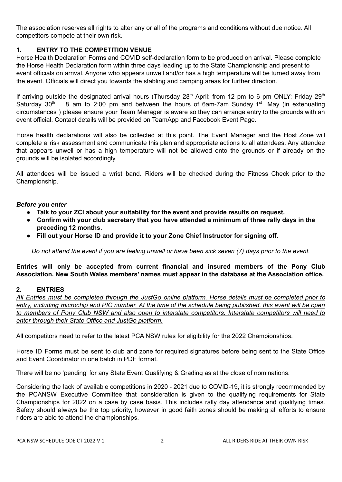The association reserves all rights to alter any or all of the programs and conditions without due notice. All competitors compete at their own risk.

#### **1. ENTRY TO THE COMPETITION VENUE**

Horse Health Declaration Forms and COVID self-declaration form to be produced on arrival. Please complete the Horse Health Declaration form within three days leading up to the State Championship and present to event officials on arrival. Anyone who appears unwell and/or has a high temperature will be turned away from the event. Officials will direct you towards the stabling and camping areas for further direction.

If arriving outside the designated arrival hours (Thursday 28<sup>th</sup> April: from 12 pm to 6 pm ONLY; Friday 29<sup>th</sup> Saturday 30<sup>th</sup>  $<sup>th</sup>$  8 am to 2:00 pm and between the hours of 6am-7am Sunday 1<sup>st</sup> May (in extenuating</sup> circumstances ) please ensure your Team Manager is aware so they can arrange entry to the grounds with an event official. Contact details will be provided on TeamApp and Facebook Event Page.

Horse health declarations will also be collected at this point. The Event Manager and the Host Zone will complete a risk assessment and communicate this plan and appropriate actions to all attendees. Any attendee that appears unwell or has a high temperature will not be allowed onto the grounds or if already on the grounds will be isolated accordingly.

All attendees will be issued a wrist band. Riders will be checked during the Fitness Check prior to the Championship.

#### *Before you enter*

- **● Talk to your ZCI about your suitability for the event and provide results on request.**
- **● Confirm with your club secretary that you have attended a minimum of three rally days in the preceding 12 months.**
- **● Fill out your Horse ID and provide it to your Zone Chief Instructor for signing off.**

Do not attend the event if you are feeling unwell or have been sick seven (7) days prior to the event.

**Entries will only be accepted from current financial and insured members of the Pony Club Association. New South Wales members' names must appear in the database at the Association office.**

#### **2. ENTRIES**

All Entries must be completed through the JustGo online platform. Horse details must be completed prior to entry, including microchip and PIC number. At the time of the schedule being published, this event will be open *to members of Pony Club NSW and also open to interstate competitors. Interstate competitors will need to enter through their State Office and JustGo platform.*

All competitors need to refer to the latest PCA NSW rules for eligibility for the 2022 Championships.

Horse ID Forms must be sent to club and zone for required signatures before being sent to the State Office and Event Coordinator in one batch in PDF format.

There will be no 'pending' for any State Event Qualifying & Grading as at the close of nominations.

Considering the lack of available competitions in 2020 - 2021 due to COVID-19, it is strongly recommended by the PCANSW Executive Committee that consideration is given to the qualifying requirements for State Championships for 2022 on a case by case basis. This includes rally day attendance and qualifying times. Safety should always be the top priority, however in good faith zones should be making all efforts to ensure riders are able to attend the championships.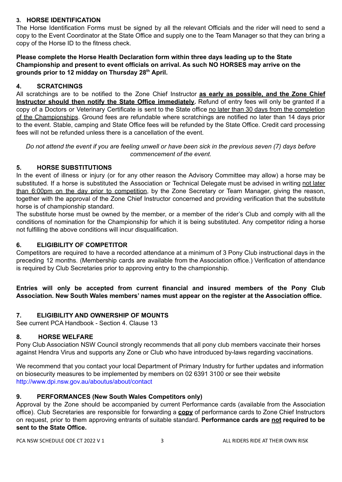#### **3. HORSE IDENTIFICATION**

The Horse Identification Forms must be signed by all the relevant Officials and the rider will need to send a copy to the Event Coordinator at the State Office and supply one to the Team Manager so that they can bring a copy of the Horse ID to the fitness check.

**Please complete the Horse Health Declaration form within three days leading up to the State Championship and present to event officials on arrival. As such NO HORSES may arrive on the grounds prior to 12 midday on Thursday 28 th April.**

#### **4. SCRATCHINGS**

All scratchings are to be notified to the Zone Chief Instructor **as early as possible, and the Zone Chief Instructor should then notify the State Office immediately.** Refund of entry fees will only be granted if a copy of a Doctors or Veterinary Certificate is sent to the State office no later than 30 days from the completion of the Championships. Ground fees are refundable where scratchings are notified no later than 14 days prior to the event. Stable, camping and State Office fees will be refunded by the State Office. Credit card processing fees will not be refunded unless there is a cancellation of the event.

Do not attend the event if you are feeling unwell or have been sick in the previous seven (7) days before *commencement of the event.*

#### **5. HORSE SUBSTITUTIONS**

In the event of illness or injury (or for any other reason the Advisory Committee may allow) a horse may be substituted. If a horse is substituted the Association or Technical Delegate must be advised in writing not later than 6:00pm on the day prior to competition, by the Zone Secretary or Team Manager, giving the reason, together with the approval of the Zone Chief Instructor concerned and providing verification that the substitute horse is of championship standard.

The substitute horse must be owned by the member, or a member of the rider's Club and comply with all the conditions of nomination for the Championship for which it is being substituted. Any competitor riding a horse not fulfilling the above conditions will incur disqualification.

#### **6. ELIGIBILITY OF COMPETITOR**

Competitors are required to have a recorded attendance at a minimum of 3 Pony Club instructional days in the preceding 12 months. (Membership cards are available from the Association office.) Verification of attendance is required by Club Secretaries prior to approving entry to the championship.

**Entries will only be accepted from current financial and insured members of the Pony Club Association. New South Wales members' names must appear on the register at the Association office.**

#### **7. ELIGIBILITY AND OWNERSHIP OF MOUNTS**

See current PCA Handbook - Section 4. Clause 13

#### **8. HORSE WELFARE**

Pony Club Association NSW Council strongly recommends that all pony club members vaccinate their horses against Hendra Virus and supports any Zone or Club who have introduced by-laws regarding vaccinations.

We recommend that you contact your local Department of Primary Industry for further updates and information on biosecurity measures to be implemented by members on 02 6391 3100 or see their website http://www.dpi.nsw.gov.au/aboutus/about/contact

#### **9. PERFORMANCES (New South Wales Competitors only)**

Approval by the Zone should be accompanied by current Performance cards (available from the Association office). Club Secretaries are responsible for forwarding a **copy** of performance cards to Zone Chief Instructors on request, prior to them approving entrants of suitable standard. **Performance cards are not required to be sent to the State Office.**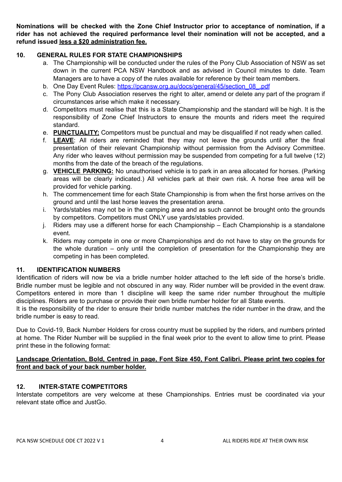**Nominations will be checked with the Zone Chief Instructor prior to acceptance of nomination, if a rider has not achieved the required performance level their nomination will not be accepted, and a refund issued less a \$20 administration fee.**

#### **10. GENERAL RULES FOR STATE CHAMPIONSHIPS**

- a. The Championship will be conducted under the rules of the Pony Club Association of NSW as set down in the current PCA NSW Handbook and as advised in Council minutes to date. Team Managers are to have a copy of the rules available for reference by their team members.
- b. One Day Event Rules: https://pcansw.org.au/docs/general/45/section 08 .pdf
- c. The Pony Club Association reserves the right to alter, amend or delete any part of the program if circumstances arise which make it necessary.
- d. Competitors must realise that this is a State Championship and the standard will be high. It is the responsibility of Zone Chief Instructors to ensure the mounts and riders meet the required standard.
- e. **PUNCTUALITY:** Competitors must be punctual and may be disqualified if not ready when called.
- f. **LEAVE**: All riders are reminded that they may not leave the grounds until after the final presentation of their relevant Championship without permission from the Advisory Committee. Any rider who leaves without permission may be suspended from competing for a full twelve (12) months from the date of the breach of the regulations.
- g. **VEHICLE PARKING:** No unauthorised vehicle is to park in an area allocated for horses. (Parking areas will be clearly indicated.) All vehicles park at their own risk. A horse free area will be provided for vehicle parking.
- h. The commencement time for each State Championship is from when the first horse arrives on the ground and until the last horse leaves the presentation arena.
- i. Yards/stables may not be in the camping area and as such cannot be brought onto the grounds by competitors. Competitors must ONLY use yards/stables provided.
- j. Riders may use a different horse for each Championship Each Championship is a standalone event.
- k. Riders may compete in one or more Championships and do not have to stay on the grounds for the whole duration – only until the completion of presentation for the Championship they are competing in has been completed.

#### **11. IDENTIFICATION NUMBERS**

Identification of riders will now be via a bridle number holder attached to the left side of the horse's bridle. Bridle number must be legible and not obscured in any way. Rider number will be provided in the event draw. Competitors entered in more than 1 discipline will keep the same rider number throughout the multiple disciplines. Riders are to purchase or provide their own bridle number holder for all State events.

It is the responsibility of the rider to ensure their bridle number matches the rider number in the draw, and the bridle number is easy to read.

Due to Covid-19, Back Number Holders for cross country must be supplied by the riders, and numbers printed at home. The Rider Number will be supplied in the final week prior to the event to allow time to print. Please print these in the following format:

#### **Landscape Orientation, Bold, Centred in page, Font Size 450, Font Calibri. Please print two copies for front and back of your back number holder.**

#### **12. INTER-STATE COMPETITORS**

Interstate competitors are very welcome at these Championships. Entries must be coordinated via your relevant state office and JustGo.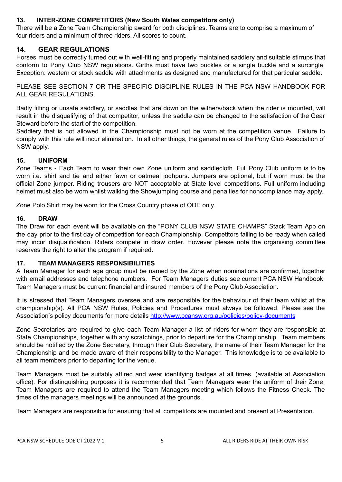#### **13. INTER-ZONE COMPETITORS (New South Wales competitors only)**

There will be a Zone Team Championship award for both disciplines. Teams are to comprise a maximum of four riders and a minimum of three riders. All scores to count.

### **14. GEAR REGULATIONS**

Horses must be correctly turned out with well-fitting and properly maintained saddlery and suitable stirrups that conform to Pony Club NSW regulations. Girths must have two buckles or a single buckle and a surcingle. Exception: western or stock saddle with attachments as designed and manufactured for that particular saddle.

PLEASE SEE SECTION 7 OR THE SPECIFIC DISCIPLINE RULES IN THE PCA NSW HANDBOOK FOR ALL GEAR REGULATIONS.

Badly fitting or unsafe saddlery, or saddles that are down on the withers/back when the rider is mounted, will result in the disqualifying of that competitor, unless the saddle can be changed to the satisfaction of the Gear Steward before the start of the competition.

Saddlery that is not allowed in the Championship must not be worn at the competition venue. Failure to comply with this rule will incur elimination. In all other things, the general rules of the Pony Club Association of NSW apply.

#### **15. UNIFORM**

Zone Teams - Each Team to wear their own Zone uniform and saddlecloth. Full Pony Club uniform is to be worn i.e. shirt and tie and either fawn or oatmeal jodhpurs. Jumpers are optional, but if worn must be the official Zone jumper. Riding trousers are NOT acceptable at State level competitions. Full uniform including helmet must also be worn whilst walking the Showjumping course and penalties for noncompliance may apply.

Zone Polo Shirt may be worn for the Cross Country phase of ODE only.

#### **16. DRAW**

The Draw for each event will be available on the "PONY CLUB NSW STATE CHAMPS" Stack Team App on the day prior to the first day of competition for each Championship. Competitors failing to be ready when called may incur disqualification. Riders compete in draw order. However please note the organising committee reserves the right to alter the program if required.

#### **17. TEAM MANAGERS RESPONSIBILITIES**

A Team Manager for each age group must be named by the Zone when nominations are confirmed, together with email addresses and telephone numbers. For Team Managers duties see current PCA NSW Handbook. Team Managers must be current financial and insured members of the Pony Club Association.

It is stressed that Team Managers oversee and are responsible for the behaviour of their team whilst at the championship(s). All PCA NSW Rules, Policies and Procedures must always be followed. Please see the Association's policy documents for more details http://www.pcansw.org.au/policies/policy-documents

Zone Secretaries are required to give each Team Manager a list of riders for whom they are responsible at State Championships, together with any scratchings, prior to departure for the Championship. Team members should be notified by the Zone Secretary, through their Club Secretary, the name of their Team Manager for the Championship and be made aware of their responsibility to the Manager. This knowledge is to be available to all team members prior to departing for the venue.

Team Managers must be suitably attired and wear identifying badges at all times, (available at Association office). For distinguishing purposes it is recommended that Team Managers wear the uniform of their Zone. Team Managers are required to attend the Team Managers meeting which follows the Fitness Check. The times of the managers meetings will be announced at the grounds.

Team Managers are responsible for ensuring that all competitors are mounted and present at Presentation.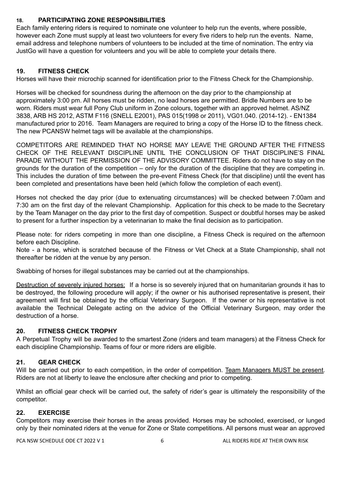### **18. PARTICIPATING ZONE RESPONSIBILITIES**

Each family entering riders is required to nominate one volunteer to help run the events, where possible, however each Zone must supply at least two volunteers for every five riders to help run the events. Name, email address and telephone numbers of volunteers to be included at the time of nomination. The entry via JustGo will have a question for volunteers and you will be able to complete your details there.

### **19. FITNESS CHECK**

Horses will have their microchip scanned for identification prior to the Fitness Check for the Championship.

Horses will be checked for soundness during the afternoon on the day prior to the championship at approximately 3:00 pm. All horses must be ridden, no lead horses are permitted. Bridle Numbers are to be worn. Riders must wear full Pony Club uniform in Zone colours, together with an approved helmet. AS/NZ 3838, ARB HS 2012, ASTM F116 (SNELL E2001), PAS 015(1998 or 2011), VG01.040. (2014-12). - EN1384 manufactured prior to 2016. Team Managers are required to bring a copy of the Horse ID to the fitness check. The new PCANSW helmet tags will be available at the championships.

COMPETITORS ARE REMINDED THAT NO HORSE MAY LEAVE THE GROUND AFTER THE FITNESS CHECK OF THE RELEVANT DISCIPLINE UNTIL THE CONCLUSION OF THAT DISCIPLINE'S FINAL PARADE WITHOUT THE PERMISSION OF THE ADVISORY COMMITTEE. Riders do not have to stay on the grounds for the duration of the competition – only for the duration of the discipline that they are competing in. This includes the duration of time between the pre-event Fitness Check (for that discipline) until the event has been completed and presentations have been held (which follow the completion of each event).

Horses not checked the day prior (due to extenuating circumstances) will be checked between 7:00am and 7:30 am on the first day of the relevant Championship. Application for this check to be made to the Secretary by the Team Manager on the day prior to the first day of competition. Suspect or doubtful horses may be asked to present for a further inspection by a veterinarian to make the final decision as to participation.

Please note: for riders competing in more than one discipline, a Fitness Check is required on the afternoon before each Discipline.

Note - a horse, which is scratched because of the Fitness or Vet Check at a State Championship, shall not thereafter be ridden at the venue by any person.

Swabbing of horses for illegal substances may be carried out at the championships.

Destruction of severely injured horses: If a horse is so severely injured that on humanitarian grounds it has to be destroyed, the following procedure will apply; if the owner or his authorised representative is present, their agreement will first be obtained by the official Veterinary Surgeon. If the owner or his representative is not available the Technical Delegate acting on the advice of the Official Veterinary Surgeon, may order the destruction of a horse.

#### **20. FITNESS CHECK TROPHY**

A Perpetual Trophy will be awarded to the smartest Zone (riders and team managers) at the Fitness Check for each discipline Championship. Teams of four or more riders are eligible.

## **21. GEAR CHECK**

Will be carried out prior to each competition, in the order of competition. Team Managers MUST be present. Riders are not at liberty to leave the enclosure after checking and prior to competing.

Whilst an official gear check will be carried out, the safety of rider's gear is ultimately the responsibility of the competitor.

#### **22. EXERCISE**

Competitors may exercise their horses in the areas provided. Horses may be schooled, exercised, or lunged only by their nominated riders at the venue for Zone or State competitions. All persons must wear an approved

PCA NSW SCHEDULE ODE CT 2022 V 1 6 ALL RIDERS RIDE AT THEIR OWN RISK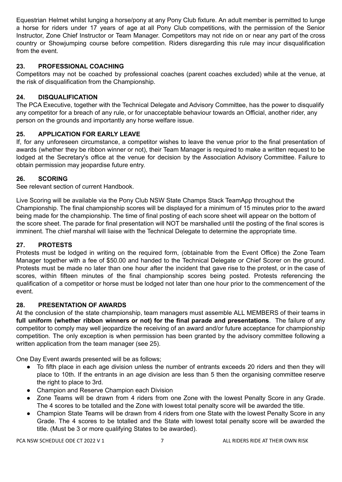Equestrian Helmet whilst lunging a horse/pony at any Pony Club fixture. An adult member is permitted to lunge a horse for riders under 17 years of age at all Pony Club competitions, with the permission of the Senior Instructor, Zone Chief Instructor or Team Manager. Competitors may not ride on or near any part of the cross country or Showjumping course before competition. Riders disregarding this rule may incur disqualification from the event.

### **23. PROFESSIONAL COACHING**

Competitors may not be coached by professional coaches (parent coaches excluded) while at the venue, at the risk of disqualification from the Championship.

### **24. DISQUALIFICATION**

The PCA Executive, together with the Technical Delegate and Advisory Committee, has the power to disqualify any competitor for a breach of any rule, or for unacceptable behaviour towards an Official, another rider, any person on the grounds and importantly any horse welfare issue.

## **25. APPLICATION FOR EARLY LEAVE**

If, for any unforeseen circumstance, a competitor wishes to leave the venue prior to the final presentation of awards (whether they be ribbon winner or not), their Team Manager is required to make a written request to be lodged at the Secretary's office at the venue for decision by the Association Advisory Committee. Failure to obtain permission may jeopardise future entry.

#### **26. SCORING**

See relevant section of current Handbook.

Live Scoring will be available via the Pony Club NSW State Champs Stack TeamApp throughout the Championship. The final championship scores will be displayed for a minimum of 15 minutes prior to the award being made for the championship. The time of final posting of each score sheet will appear on the bottom of the score sheet. The parade for final presentation will NOT be marshalled until the posting of the final scores is imminent. The chief marshal will liaise with the Technical Delegate to determine the appropriate time.

### **27. PROTESTS**

Protests must be lodged in writing on the required form, (obtainable from the Event Office) the Zone Team Manager together with a fee of \$50.00 and handed to the Technical Delegate or Chief Scorer on the ground. Protests must be made no later than one hour after the incident that gave rise to the protest, or in the case of scores, within fifteen minutes of the final championship scores being posted. Protests referencing the qualification of a competitor or horse must be lodged not later than one hour prior to the commencement of the event.

#### **28. PRESENTATION OF AWARDS**

At the conclusion of the state championship, team managers must assemble ALL MEMBERS of their teams in **full uniform (whether ribbon winners or not) for the final parade and presentations**. The failure of any competitor to comply may well jeopardize the receiving of an award and/or future acceptance for championship competition. The only exception is when permission has been granted by the advisory committee following a written application from the team manager (see 25).

One Day Event awards presented will be as follows;

- To fifth place in each age division unless the number of entrants exceeds 20 riders and then they will place to 10th. If the entrants in an age division are less than 5 then the organising committee reserve the right to place to 3rd.
- Champion and Reserve Champion each Division
- Zone Teams will be drawn from 4 riders from one Zone with the lowest Penalty Score in any Grade. The 4 scores to be totalled and the Zone with lowest total penalty score will be awarded the title.
- Champion State Teams will be drawn from 4 riders from one State with the lowest Penalty Score in any Grade. The 4 scores to be totalled and the State with lowest total penalty score will be awarded the title. (Must be 3 or more qualifying States to be awarded).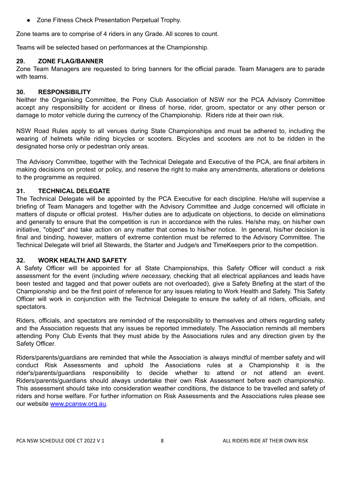● Zone Fitness Check Presentation Perpetual Trophy.

Zone teams are to comprise of 4 riders in any Grade. All scores to count.

Teams will be selected based on performances at the Championship.

#### **29. ZONE FLAG/BANNER**

Zone Team Managers are requested to bring banners for the official parade. Team Managers are to parade with teams.

#### **30. RESPONSIBILITY**

Neither the Organising Committee, the Pony Club Association of NSW nor the PCA Advisory Committee accept any responsibility for accident or illness of horse, rider, groom, spectator or any other person or damage to motor vehicle during the currency of the Championship. Riders ride at their own risk.

NSW Road Rules apply to all venues during State Championships and must be adhered to, including the wearing of helmets while riding bicycles or scooters. Bicycles and scooters are not to be ridden in the designated horse only or pedestrian only areas.

The Advisory Committee, together with the Technical Delegate and Executive of the PCA, are final arbiters in making decisions on protest or policy, and reserve the right to make any amendments, alterations or deletions to the programme as required.

#### **31. TECHNICAL DELEGATE**

The Technical Delegate will be appointed by the PCA Executive for each discipline. He/she will supervise a briefing of Team Managers and together with the Advisory Committee and Judge concerned will officiate in matters of dispute or official protest. His/her duties are to adjudicate on objections, to decide on eliminations and generally to ensure that the competition is run in accordance with the rules. He/she may, on his/her own initiative, "object" and take action on any matter that comes to his/her notice. In general, his/her decision is final and binding, however, matters of extreme contention must be referred to the Advisory Committee. The Technical Delegate will brief all Stewards, the Starter and Judge/s and TimeKeepers prior to the competition.

#### **32. WORK HEALTH AND SAFETY**

A Safety Officer will be appointed for all State Championships, this Safety Officer will conduct a risk assessment for the event (including *where necessary,* checking that all electrical appliances and leads have been tested and tagged and that power outlets are not overloaded), give a Safety Briefing at the start of the Championship and be the first point of reference for any issues relating to Work Health and Safety. This Safety Officer will work in conjunction with the Technical Delegate to ensure the safety of all riders, officials, and spectators.

Riders, officials, and spectators are reminded of the responsibility to themselves and others regarding safety and the Association requests that any issues be reported immediately. The Association reminds all members attending Pony Club Events that they must abide by the Associations rules and any direction given by the Safety Officer.

Riders/parents/guardians are reminded that while the Association is always mindful of member safety and will conduct Risk Assessments and uphold the Associations rules at a Championship it is the rider's/parents/guardians responsibility to decide whether to attend or not attend an event. Riders/parents/guardians should always undertake their own Risk Assessment before each championship. This assessment should take into consideration weather conditions, the distance to be travelled and safety of riders and horse welfare. For further information on Risk Assessments and the Associations rules please see our website www.pcansw.org.au.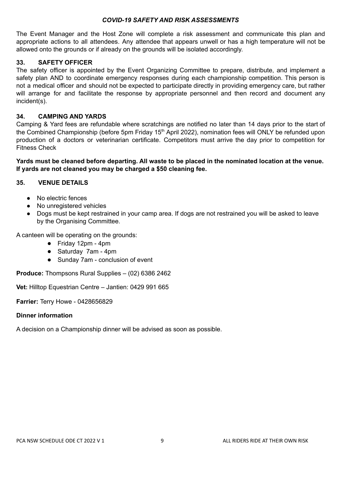#### *COVID-19 SAFETY AND RISK ASSESSMENTS*

The Event Manager and the Host Zone will complete a risk assessment and communicate this plan and appropriate actions to all attendees. Any attendee that appears unwell or has a high temperature will not be allowed onto the grounds or if already on the grounds will be isolated accordingly.

#### **33. SAFETY OFFICER**

The safety officer is appointed by the Event Organizing Committee to prepare, distribute, and implement a safety plan AND to coordinate emergency responses during each championship competition. This person is not a medical officer and should not be expected to participate directly in providing emergency care, but rather will arrange for and facilitate the response by appropriate personnel and then record and document any incident(s).

#### **34. CAMPING AND YARDS**

Camping & Yard fees are refundable where scratchings are notified no later than 14 days prior to the start of the Combined Championship (before 5pm Friday 15<sup>th</sup> April 2022), nomination fees will ONLY be refunded upon production of a doctors or veterinarian certificate. Competitors must arrive the day prior to competition for Fitness Check

Yards must be cleaned before departing. All waste to be placed in the nominated location at the venue. **If yards are not cleaned you may be charged a \$50 cleaning fee.**

#### **35. VENUE DETAILS**

- No electric fences
- No unregistered vehicles
- Dogs must be kept restrained in your camp area. If dogs are not restrained you will be asked to leave by the Organising Committee.

A canteen will be operating on the grounds:

- Friday 12pm 4pm
- Saturday 7am 4pm
- Sunday 7am conclusion of event

**Produce:** Thompsons Rural Supplies – (02) 6386 2462

**Vet:** Hilltop Equestrian Centre – Jantien: 0429 991 665

**Farrier:** Terry Howe - 0428656829

#### **Dinner information**

A decision on a Championship dinner will be advised as soon as possible.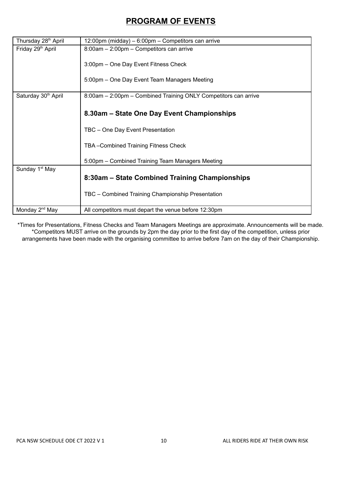## **PROGRAM OF EVENTS**

| Thursday 28 <sup>th</sup> April | 12:00pm (midday) – 6:00pm – Competitors can arrive              |  |  |  |
|---------------------------------|-----------------------------------------------------------------|--|--|--|
| Friday 29 <sup>th</sup> April   | 8:00am - 2:00pm - Competitors can arrive                        |  |  |  |
|                                 |                                                                 |  |  |  |
|                                 | 3:00pm - One Day Event Fitness Check                            |  |  |  |
|                                 | 5:00pm - One Day Event Team Managers Meeting                    |  |  |  |
|                                 |                                                                 |  |  |  |
| Saturday 30 <sup>th</sup> April | 8:00am - 2:00pm - Combined Training ONLY Competitors can arrive |  |  |  |
|                                 |                                                                 |  |  |  |
|                                 | 8.30am – State One Day Event Championships                      |  |  |  |
|                                 |                                                                 |  |  |  |
|                                 | TBC - One Day Event Presentation                                |  |  |  |
|                                 | TBA-Combined Training Fitness Check                             |  |  |  |
|                                 |                                                                 |  |  |  |
|                                 | 5:00pm – Combined Training Team Managers Meeting                |  |  |  |
| Sunday 1 <sup>st</sup> May      |                                                                 |  |  |  |
|                                 | 8:30am - State Combined Training Championships                  |  |  |  |
|                                 |                                                                 |  |  |  |
|                                 | TBC - Combined Training Championship Presentation               |  |  |  |
| Monday 2 <sup>nd</sup> May      | All competitors must depart the venue before 12:30pm            |  |  |  |

\*Times for Presentations, Fitness Checks and Team Managers Meetings are approximate. Announcements will be made. \*Competitors MUST arrive on the grounds by 2pm the day prior to the first day of the competition, unless prior arrangements have been made with the organising committee to arrive before 7am on the day of their Championship.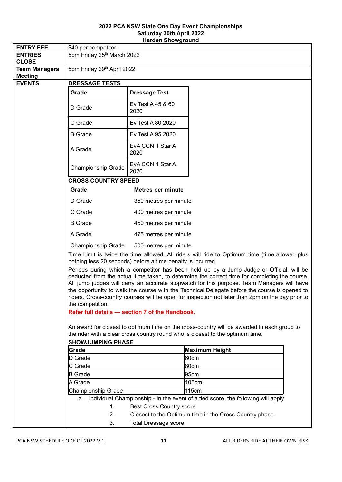#### **2022 PCA NSW State One Day Event Championships Saturday 30th April 2022 Harden Showground**

| <b>ENTRY FEE</b>                       | \$40 per competitor                                                                                                                                                                         |                                 |                                                                                  |  |  |
|----------------------------------------|---------------------------------------------------------------------------------------------------------------------------------------------------------------------------------------------|---------------------------------|----------------------------------------------------------------------------------|--|--|
| <b>ENTRIES</b><br><b>CLOSE</b>         | 5pm Friday 25th March 2022                                                                                                                                                                  |                                 |                                                                                  |  |  |
| <b>Team Managers</b><br><b>Meeting</b> | 5pm Friday 29th April 2022                                                                                                                                                                  |                                 |                                                                                  |  |  |
| <b>EVENTS</b>                          | <b>DRESSAGE TESTS</b>                                                                                                                                                                       |                                 |                                                                                  |  |  |
|                                        | Grade                                                                                                                                                                                       | <b>Dressage Test</b>            |                                                                                  |  |  |
|                                        | D Grade                                                                                                                                                                                     | Ev Test A 45 & 60<br>2020       |                                                                                  |  |  |
|                                        | C Grade                                                                                                                                                                                     | Ev Test A 80 2020               |                                                                                  |  |  |
|                                        | <b>B</b> Grade                                                                                                                                                                              | Ev Test A 95 2020               |                                                                                  |  |  |
|                                        | A Grade                                                                                                                                                                                     | EvA CCN 1 Star A<br>2020        |                                                                                  |  |  |
|                                        | Championship Grade                                                                                                                                                                          | EvA CCN 1 Star A<br>2020        |                                                                                  |  |  |
|                                        | <b>CROSS COUNTRY SPEED</b>                                                                                                                                                                  |                                 |                                                                                  |  |  |
|                                        | Grade                                                                                                                                                                                       | <b>Metres per minute</b>        |                                                                                  |  |  |
|                                        | D Grade                                                                                                                                                                                     | 350 metres per minute           |                                                                                  |  |  |
|                                        | C Grade                                                                                                                                                                                     | 400 metres per minute           |                                                                                  |  |  |
|                                        | <b>B</b> Grade                                                                                                                                                                              | 450 metres per minute           |                                                                                  |  |  |
|                                        | A Grade                                                                                                                                                                                     | 475 metres per minute           |                                                                                  |  |  |
|                                        | Championship Grade<br>500 metres per minute                                                                                                                                                 |                                 |                                                                                  |  |  |
|                                        | Time Limit is twice the time allowed. All riders will ride to Optimum time (time allowed plus<br>nothing less 20 seconds) before a time penalty is incurred.                                |                                 |                                                                                  |  |  |
|                                        | Periods during which a competitor has been held up by a Jump Judge or Official, will be                                                                                                     |                                 |                                                                                  |  |  |
|                                        | deducted from the actual time taken, to determine the correct time for completing the course.<br>All jump judges will carry an accurate stopwatch for this purpose. Team Managers will have |                                 |                                                                                  |  |  |
|                                        | the opportunity to walk the course with the Technical Delegate before the course is opened to                                                                                               |                                 |                                                                                  |  |  |
|                                        | riders. Cross-country courses will be open for inspection not later than 2pm on the day prior to<br>the competition.                                                                        |                                 |                                                                                  |  |  |
|                                        | Refer full details - section 7 of the Handbook.                                                                                                                                             |                                 |                                                                                  |  |  |
|                                        | An award for closest to optimum time on the cross-country will be awarded in each group to                                                                                                  |                                 |                                                                                  |  |  |
|                                        | the rider with a clear cross country round who is closest to the optimum time.                                                                                                              |                                 |                                                                                  |  |  |
|                                        | <b>SHOWJUMPING PHASE</b>                                                                                                                                                                    |                                 |                                                                                  |  |  |
|                                        | Grade                                                                                                                                                                                       |                                 | Maximum Height                                                                   |  |  |
|                                        | D Grade                                                                                                                                                                                     |                                 | l60cm                                                                            |  |  |
|                                        | C Grade<br><b>B</b> Grade                                                                                                                                                                   |                                 | 80cm<br>95cm                                                                     |  |  |
|                                        | A Grade                                                                                                                                                                                     |                                 | 105cm                                                                            |  |  |
|                                        | Championship Grade                                                                                                                                                                          |                                 | 115cm                                                                            |  |  |
|                                        | a.                                                                                                                                                                                          |                                 | Individual Championship - In the event of a tied score, the following will apply |  |  |
|                                        | 1.                                                                                                                                                                                          | <b>Best Cross Country score</b> |                                                                                  |  |  |
|                                        | 2.                                                                                                                                                                                          |                                 | Closest to the Optimum time in the Cross Country phase                           |  |  |
|                                        | 3.                                                                                                                                                                                          | <b>Total Dressage score</b>     |                                                                                  |  |  |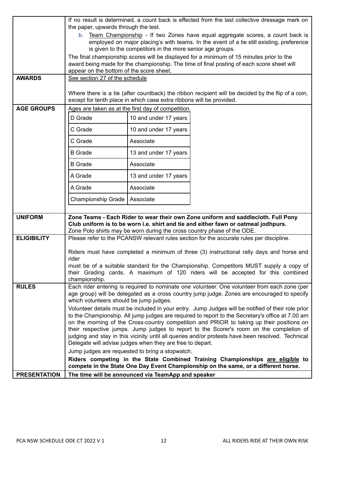|                     | If no result is determined, a count back is effected from the last collective dressage mark on<br>the paper, upwards through the test.                                                                                                                                                          |                                                                                          |                                                                                                                                                                     |  |  |  |
|---------------------|-------------------------------------------------------------------------------------------------------------------------------------------------------------------------------------------------------------------------------------------------------------------------------------------------|------------------------------------------------------------------------------------------|---------------------------------------------------------------------------------------------------------------------------------------------------------------------|--|--|--|
|                     | b. Team Championship - If two Zones have equal aggregate scores, a count back is                                                                                                                                                                                                                |                                                                                          |                                                                                                                                                                     |  |  |  |
|                     | employed on major placing's with teams. In the event of a tie still existing, preference<br>is given to the competitors in the more senior age groups.                                                                                                                                          |                                                                                          |                                                                                                                                                                     |  |  |  |
|                     |                                                                                                                                                                                                                                                                                                 | The final championship scores will be displayed for a minimum of 15 minutes prior to the |                                                                                                                                                                     |  |  |  |
|                     | award being made for the championship. The time of final posting of each score sheet will                                                                                                                                                                                                       |                                                                                          |                                                                                                                                                                     |  |  |  |
| <b>AWARDS</b>       | appear on the bottom of the score sheet.<br>See section 27 of the schedule                                                                                                                                                                                                                      |                                                                                          |                                                                                                                                                                     |  |  |  |
|                     |                                                                                                                                                                                                                                                                                                 |                                                                                          |                                                                                                                                                                     |  |  |  |
|                     | Where there is a tie (after countback) the ribbon recipient will be decided by the flip of a coin,<br>except for tenth place in which case extra ribbons will be provided.                                                                                                                      |                                                                                          |                                                                                                                                                                     |  |  |  |
| <b>AGE GROUPS</b>   | Ages are taken as at the first day of competition.                                                                                                                                                                                                                                              |                                                                                          |                                                                                                                                                                     |  |  |  |
|                     | D Grade                                                                                                                                                                                                                                                                                         | 10 and under 17 years                                                                    |                                                                                                                                                                     |  |  |  |
|                     | C Grade                                                                                                                                                                                                                                                                                         | 10 and under 17 years                                                                    |                                                                                                                                                                     |  |  |  |
|                     | C Grade                                                                                                                                                                                                                                                                                         | Associate                                                                                |                                                                                                                                                                     |  |  |  |
|                     | <b>B</b> Grade                                                                                                                                                                                                                                                                                  | 13 and under 17 years                                                                    |                                                                                                                                                                     |  |  |  |
|                     | <b>B</b> Grade                                                                                                                                                                                                                                                                                  | Associate                                                                                |                                                                                                                                                                     |  |  |  |
|                     | A Grade                                                                                                                                                                                                                                                                                         | 13 and under 17 years                                                                    |                                                                                                                                                                     |  |  |  |
|                     | A Grade                                                                                                                                                                                                                                                                                         | Associate                                                                                |                                                                                                                                                                     |  |  |  |
|                     | Championship Grade   Associate                                                                                                                                                                                                                                                                  |                                                                                          |                                                                                                                                                                     |  |  |  |
| <b>UNIFORM</b>      |                                                                                                                                                                                                                                                                                                 |                                                                                          | Zone Teams - Each Rider to wear their own Zone uniform and saddlecloth. Full Pony                                                                                   |  |  |  |
|                     |                                                                                                                                                                                                                                                                                                 |                                                                                          | Club uniform is to be worn i.e. shirt and tie and either fawn or oatmeal jodhpurs.                                                                                  |  |  |  |
| <b>ELIGIBILITY</b>  |                                                                                                                                                                                                                                                                                                 |                                                                                          | Zone Polo shirts may be worn during the cross country phase of the ODE.<br>Please refer to the PCANSW relevant rules section for the accurate rules per discipline. |  |  |  |
|                     | Riders must have completed a minimum of three (3) instructional rally days and horse and<br>rider<br>must be of a suitable standard for the Championship. Competitors MUST supply a copy of<br>their Grading cards. A maximum of 120 riders will be accepted for this combined<br>championship. |                                                                                          |                                                                                                                                                                     |  |  |  |
|                     |                                                                                                                                                                                                                                                                                                 |                                                                                          |                                                                                                                                                                     |  |  |  |
|                     |                                                                                                                                                                                                                                                                                                 |                                                                                          |                                                                                                                                                                     |  |  |  |
|                     |                                                                                                                                                                                                                                                                                                 |                                                                                          |                                                                                                                                                                     |  |  |  |
| <b>RULES</b>        |                                                                                                                                                                                                                                                                                                 |                                                                                          | Each rider entering is required to nominate one volunteer. One volunteer from each zone (per                                                                        |  |  |  |
|                     | which volunteers should be jump judges.                                                                                                                                                                                                                                                         |                                                                                          | age group) will be delegated as a cross country jump judge. Zones are encouraged to specify                                                                         |  |  |  |
|                     |                                                                                                                                                                                                                                                                                                 |                                                                                          | Volunteer details must be included in your entry. Jump Judges will be notified of their role prior                                                                  |  |  |  |
|                     |                                                                                                                                                                                                                                                                                                 |                                                                                          | to the Championship. All jump judges are required to report to the Secretary's office at 7.00 am                                                                    |  |  |  |
|                     |                                                                                                                                                                                                                                                                                                 |                                                                                          | on the morning of the Cross-country competition and PRIOR to taking up their positions on                                                                           |  |  |  |
|                     | their respective jumps. Jump judges to report to the Scorer's room on the completion of<br>judging and stay in this vicinity until all queries and/or protests have been resolved. Technical<br>Delegate will advise judges when they are free to depart.                                       |                                                                                          |                                                                                                                                                                     |  |  |  |
|                     |                                                                                                                                                                                                                                                                                                 | Jump judges are requested to bring a stopwatch.                                          |                                                                                                                                                                     |  |  |  |
|                     |                                                                                                                                                                                                                                                                                                 | Riders competing in the State Combined Training Championships are eligible to            |                                                                                                                                                                     |  |  |  |
|                     | compete in the State One Day Event Championship on the same, or a different horse.                                                                                                                                                                                                              |                                                                                          |                                                                                                                                                                     |  |  |  |
| <b>PRESENTATION</b> |                                                                                                                                                                                                                                                                                                 | The time will be announced via TeamApp and speaker                                       |                                                                                                                                                                     |  |  |  |